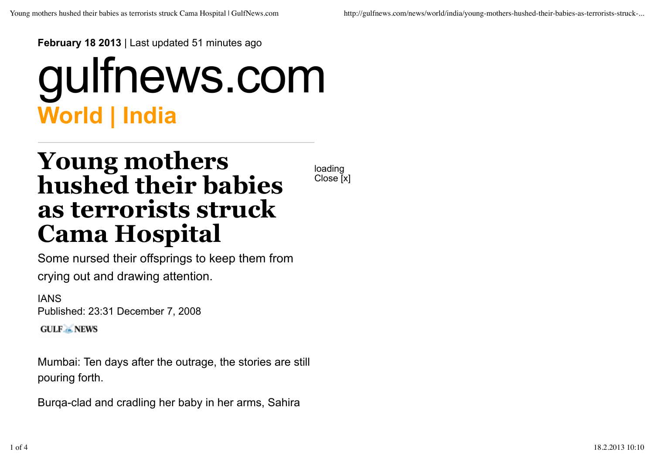**February 18 2013** | Last updated 51 minutes ago

## **World | India** gulfnews.com

## **Young mothers hushed their babies as terrorists struck Cama Hospital**

loading Close [x]

Some nursed their offsprings to keep them from crying out and drawing attention.

IANS Published: 23:31 December 7, 2008 **GULF - NEWS** 

Mumbai: Ten days after the outrage, the stories are still pouring forth.

Burqa-clad and cradling her baby in her arms, Sahira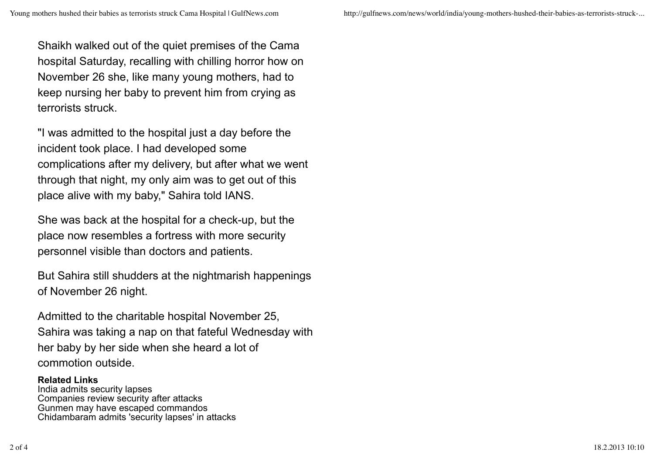Young mothers hushed their babies as terrorists struck Cama Hospital | GulfNews.com http://gulfnews.com/news/world/india/young-mothers-hushed-their-babies-as-terrorists-struck-...

Shaikh walked out of the quiet premises of the Cama hospital Saturday, recalling with chilling horror how on November 26 she, like many young mothers, had to keep nursing her baby to prevent him from crying as terrorists struck.

"I was admitted to the hospital just a day before the incident took place. I had developed some complications after my delivery, but after what we went through that night, my only aim was to get out of this place alive with my baby," Sahira told IANS.

She was back at the hospital for a check-up, but the place now resembles a fortress with more security personnel visible than doctors and patients.

But Sahira still shudders at the nightmarish happenings of November 26 night.

Admitted to the charitable hospital November 25, Sahira was taking a nap on that fateful Wednesday with her baby by her side when she heard a lot of commotion outside.

## **Related Links**

India admits security lapses Companies review security after attacks Gunmen may have escaped commandos Chidambaram admits 'security lapses' in attacks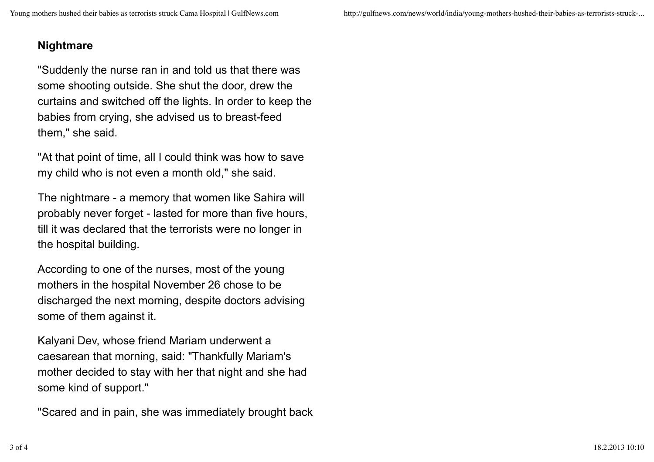## **Nightmare**

"Suddenly the nurse ran in and told us that there was some shooting outside. She shut the door, drew the curtains and switched off the lights. In order to keep the babies from crying, she advised us to breast-feed them," she said.

"At that point of time, all I could think was how to save my child who is not even a month old," she said.

The nightmare - a memory that women like Sahira will probably never forget - lasted for more than five hours, till it was declared that the terrorists were no longer in the hospital building.

According to one of the nurses, most of the young mothers in the hospital November 26 chose to be discharged the next morning, despite doctors advising some of them against it.

Kalyani Dev, whose friend Mariam underwent a caesarean that morning, said: "Thankfully Mariam's mother decided to stay with her that night and she had some kind of support."

"Scared and in pain, she was immediately brought back